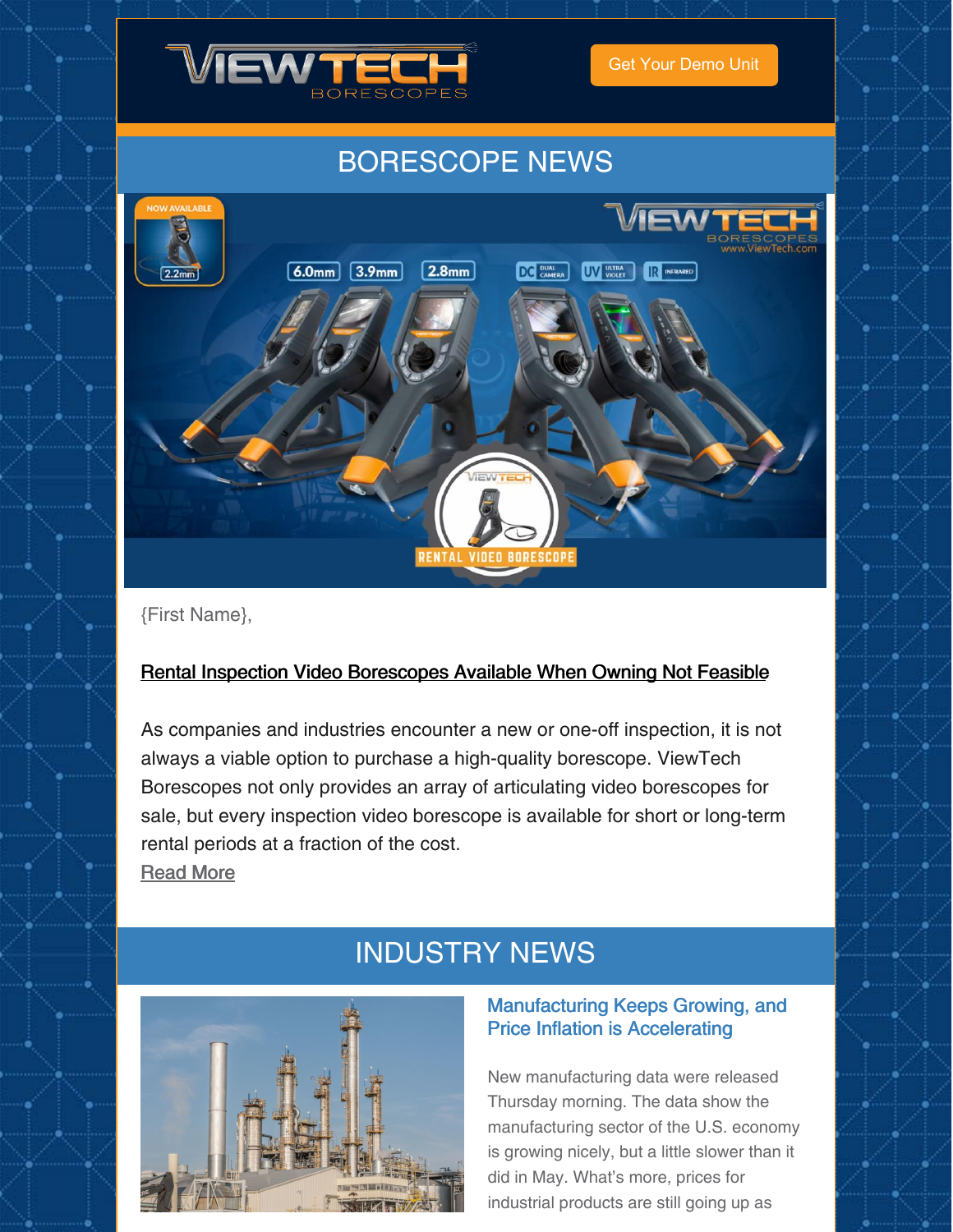

Get Your [Demo](https://www.viewtech.com/borescope-demo-offer/?utm_source=cc&utm_medium=email&utm_campaign=newsletter0721) Unit

# BORESCOPE NEWS



{First Name},

## Rental Inspection Video [Borescopes](https://www.viewtech.com/rental-inspection-video-borescopes/?utm_source=cc&utm_medium=email&utm_campaign=newsletter0721) Available When Owning Not Feasible

As companies and industries encounter a new or one-off inspection, it is not always a viable option to purchase a high-quality borescope. ViewTech Borescopes not only provides an array of articulating video borescopes for sale, but every inspection video borescope is available for short or long-term rental periods at a fraction of the cost.

[Read](https://www.viewtech.com/rental-inspection-video-borescopes/?utm_source=cc&utm_medium=email&utm_campaign=newsletter0721) More

# INDUSTRY NEWS



## Manufacturing Keeps Growing, and Price Inflation is Accelerating

New manufacturing data were released Thursday morning. The data show the manufacturing sector of the U.S. economy is growing nicely, but a little slower than it did in May. What's more, prices for industrial products are still going up as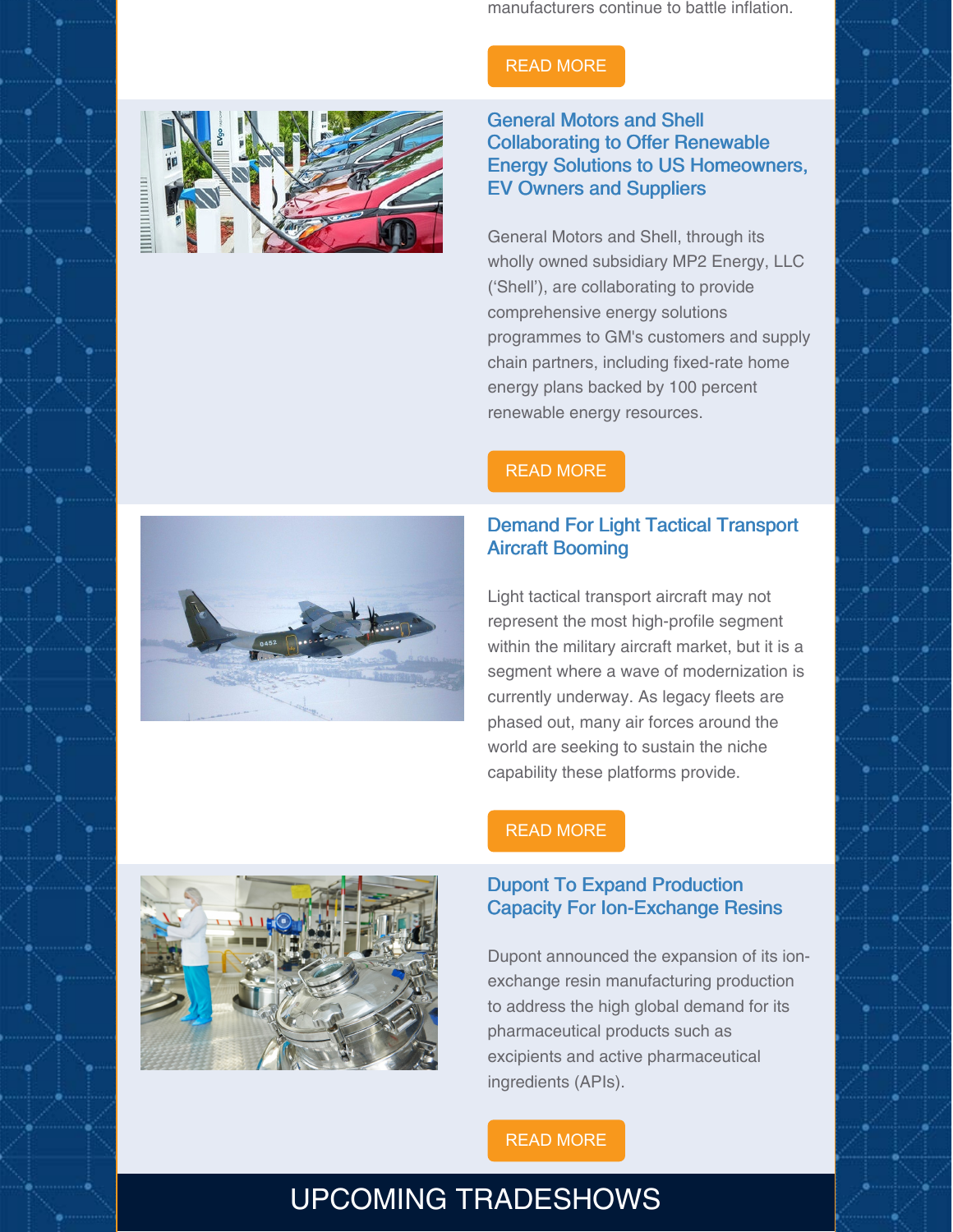manufacturers continue to battle inflation.

# READ [MORE](https://www.barrons.com/articles/manufacturing-grows-price-inflation-accelerates-51625151569)



General Motors and Shell Collaborating to Offer Renewable Energy Solutions to US Homeowners, EV Owners and Suppliers

General Motors and Shell, through its wholly owned subsidiary MP2 Energy, LLC ('Shell'), are collaborating to provide comprehensive energy solutions programmes to GM's customers and supply chain partners, including fixed-rate home energy plans backed by 100 percent renewable energy resources.

### READ [MORE](https://www.renewableenergymagazine.com/panorama/general-motors-and-shell-collaborating-to-offer-20210628)

### Demand For Light Tactical Transport Aircraft Booming

Light tactical transport aircraft may not represent the most high-profile segment within the military aircraft market, but it is a segment where a wave of modernization is currently underway. As legacy fleets are phased out, many air forces around the world are seeking to sustain the niche capability these platforms provide.



## READ [MORE](https://aviationweek.com/defense-space/demand-light-tactical-transport-aircraft-booming)

#### Dupont To Expand Production Capacity For Ion-Exchange Resins

Dupont announced the expansion of its ionexchange resin manufacturing production to address the high global demand for its pharmaceutical products such as excipients and active pharmaceutical ingredients (APIs).

#### READ [MORE](https://www.chemengonline.com/dupont-to-expand-production-capacity-for-ion-exchange-resins/)

# UPCOMING TRADESHOWS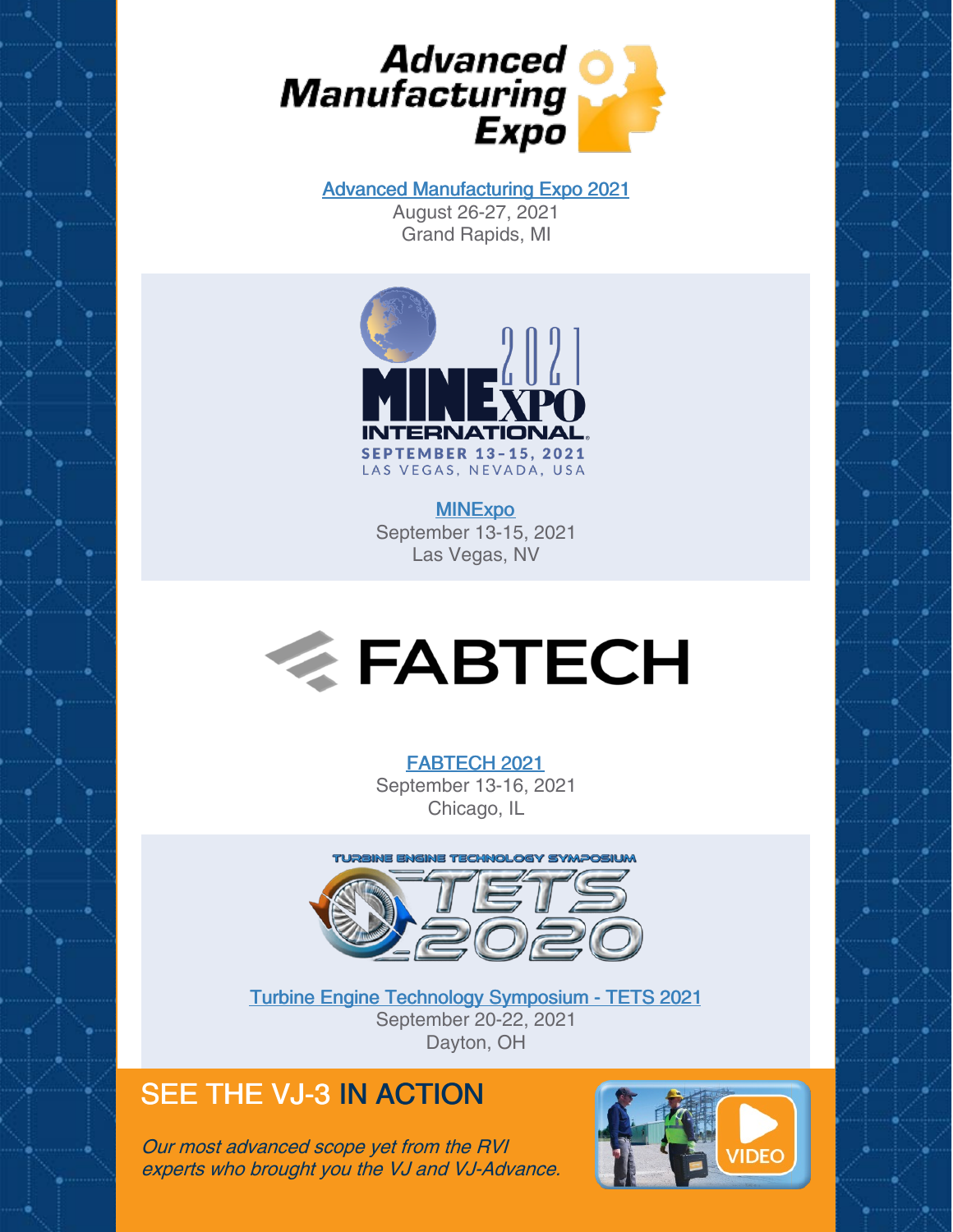

Advanced [Manufacturing](https://www.viewtech.com/about-us/tradeshows/advanced-manufacturing-expo-2021/?utm_source=cc&utm_medium=email&utm_campaign=newsletter0721) Expo 2021 August 26-27, 2021 Grand Rapids, MI



**[MINExpo](https://www.viewtech.com/about-us/tradeshows/minexpo-international-2021/?utm_source=cc&utm_medium=email&utm_campaign=newsletter0721)** September 13-15, 2021 Las Vegas, NV



#### [FABTECH](https://www.viewtech.com/about-us/tradeshows/fabtech-2021/?utm_source=cc&utm_medium=email&utm_campaign=newsletter0721) 2021

September 13-16, 2021 Chicago, IL



Turbine Engine Technology [Symposium](https://www.viewtech.com/about-us/tradeshows/turbine-engine-technology-symposium-tets-2021/?utm_source=cc&utm_medium=email&utm_campaign=newsletter0721) - TETS 2021 September 20-22, 2021 Dayton, OH

# SEE THE VJ-3 IN ACTION

Our most advanced scope yet from the RVI experts who brought you the VJ and VJ-Advance.